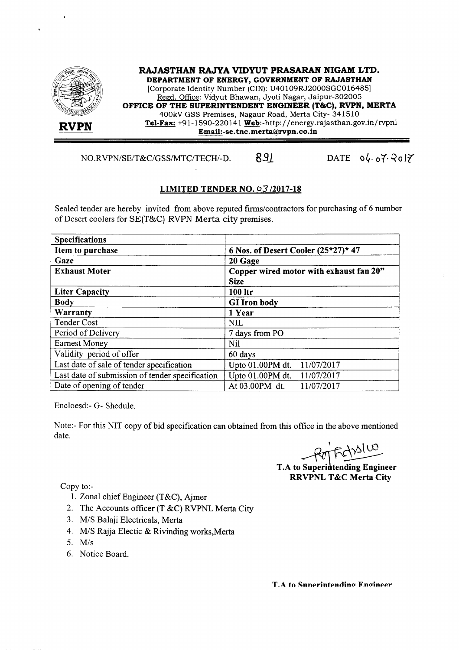

*NO.RVPN/SE/T&C/GSS/MTC/TECH/-D.* 891 DATE 04.07.2017

## LIMITED TENDER NO. 03/2017-18

Sealed tender are hereby invited from above reputed firms/contractors for purchasing of 6 number of Desert coolers for SE(T&C) RVPN Merta city premises.

| <b>Specifications</b>                           |                                                        |
|-------------------------------------------------|--------------------------------------------------------|
| Item to purchase                                | 6 Nos. of Desert Cooler $(25*27)*47$                   |
| Gaze                                            | 20 Gage                                                |
| <b>Exhaust Moter</b>                            | Copper wired motor with exhaust fan 20"<br><b>Size</b> |
| <b>Liter Capacity</b>                           | 100 ltr                                                |
| <b>Body</b>                                     | <b>GI</b> Iron body                                    |
| Warranty                                        | 1 Year                                                 |
| <b>Tender Cost</b>                              | <b>NIL</b>                                             |
| Period of Delivery                              | 7 days from PO                                         |
| <b>Earnest Money</b>                            | Nil                                                    |
| Validity period of offer                        | 60 days                                                |
| Last date of sale of tender specification       | Upto 01.00PM dt. 11/07/2017                            |
| Last date of submission of tender specification | Upto $01.00$ PM dt.<br>11/07/2017                      |
| Date of opening of tender                       | At 03.00PM dt.<br>11/07/2017                           |

Encloesd:- G- Shedule.

Note:- For this NIT copy of bid specification can obtained from this office in the above mentioned date.

Fiction

**T.A to Superintending Engineer RRVPNL T&C Merta City** 

Copy to:-

- I. Zonal chief Engineer (T&C), Ajmer
- 2. The Accounts officer (T &C) RVPNL Merta City
- *3. MIS* Balaji Electricals, Merta
- *4. MIS* Rajja Electic & Rivinding works,Merta
- *5. Mis*
- 6. Notice Board.

T.A to Sunerintendino Engineer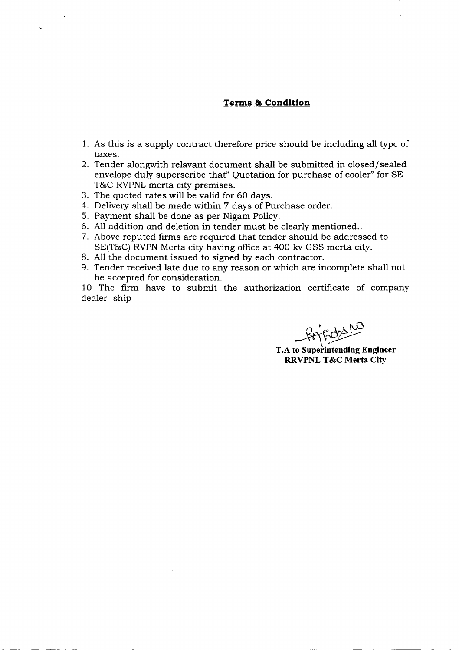## **Terms & Condition**

- 1. As this is a supply contract therefore price should be including all type of taxes.
- 2. Tender alongwith relavant document shall be submitted in closed/ sealed envelope duly superscribe that" Quotation for purchase of cooler" for SE T&C RVPNL merta city premises.
- 3. The quoted rates will be valid for 60 days.
- 4. Delivery shall be made within 7 days of Purchase order.
- 5. Payment shall be done as per Nigam Policy.
- 6. All addition and deletion in tender must be clearly mentioned ..
- 7. Above reputed firms are required that tender should be addressed to SE(T&C) RVPN Merta city having office at 400 kv GSS merta city.
- 8. All the document issued to signed by each contractor.
- 9. Tender received late due to any reason or which are incomplete shall not be accepted for consideration.

10 The firm have to submit the authorization certificate of company dealer ship

Februa

~ T.A **to Superintending Engineer RRVPNL T&C Merta City**